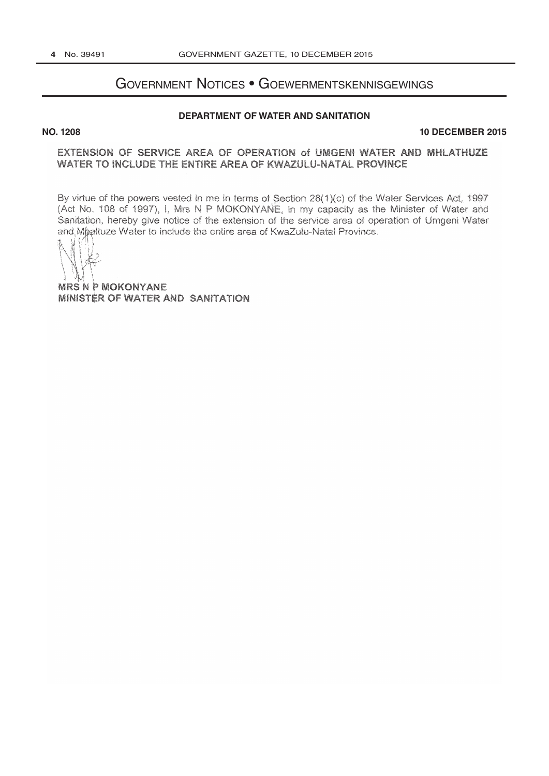# **GOVERNMENT NOTICES • GOEWERMENTSKENNISGEWINGS**

## DEPARTMENT OF WATER AND SANITATION

### **NO. 1208**

#### **10 DECEMBER 2015**

## EXTENSION OF SERVICE AREA OF OPERATION of UMGENI WATER AND MHLATHUZE WATER TO INCLUDE THE ENTIRE AREA OF KWAZULU-NATAL PROVINCE

By virtue of the powers vested in me in terms of Section 28(1)(c) of the Water Services Act, 1997 (Act No. 108 of 1997), I, Mrs N P MOKONYANE, in my capacity as the Minister of Water and Sanitation, hereby give notice of the extension of the service area of operation of Umgeni Water and Mhaltuze Water to include the entire area of KwaZulu-Natal Province.

**MRS N P MOKONYANE** MINISTER OF WATER AND SANITATION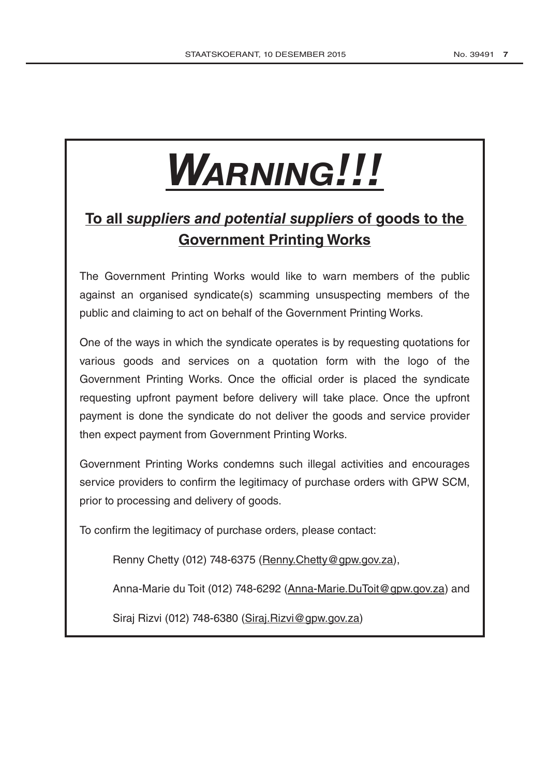# **WARNING!!!**

# To all suppliers and potential suppliers of goods to the **Government Printing Works**

The Government Printing Works would like to warn members of the public against an organised syndicate(s) scamming unsuspecting members of the public and claiming to act on behalf of the Government Printing Works.

One of the ways in which the syndicate operates is by requesting quotations for various goods and services on a quotation form with the logo of the Government Printing Works. Once the official order is placed the syndicate requesting upfront payment before delivery will take place. Once the upfront payment is done the syndicate do not deliver the goods and service provider then expect payment from Government Printing Works.

Government Printing Works condemns such illegal activities and encourages service providers to confirm the legitimacy of purchase orders with GPW SCM, prior to processing and delivery of goods.

To confirm the legitimacy of purchase orders, please contact:

Renny Chetty (012) 748-6375 (Renny Chetty @gpw.gov.za),

Anna-Marie du Toit (012) 748-6292 (Anna-Marie.DuToit@gpw.gov.za) and

Siraj Rizvi (012) 748-6380 (Siraj.Rizvi@gpw.gov.za)